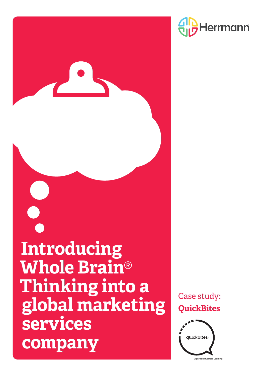

Case study: **QuickBites**





**Digestible Business Learning**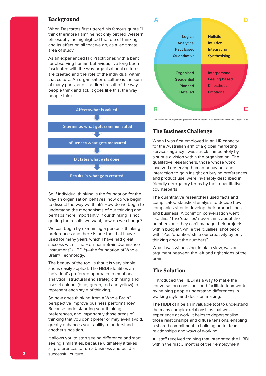### **Background**

When Descartes first uttered his famous quote "I think therefore I am" he not only birthed Western philosophy, he highlighted the role of thinking and its effect on all that we do, as a legitimate area of study.

As an experienced HR Practitioner, with a bent for observing human behaviour, I've long been fascinated with the way organisational cultures are created and the role of the individual within that culture. An organisation's culture is the sum of many parts, and is a direct result of the way people think and act. It goes like this, the way people think:



So if individual thinking is the foundation for the way an organisation behaves, how do we begin to dissect the way we think? How do we begin to understand the mechanisms of our thinking and, perhaps more importantly, if our thinking is not getting the results we want, how do we change?

We can begin by examining a person's thinking preferences and there is one tool that I have used for many years which I have had great success with—The Herrmann Brain Dominance Instrument® (HBDI®)—the foundation of Whole Brain® Technology.

The beauty of the tool is that it is very simple, and is easily applied. The HBDI identifies an individual's preferred approach to emotional, analytical, structural and strategic thinking and uses 4 colours (blue, green, red and yellow) to represent each style of thinking.

So how does thinking from a Whole Brain® perspective improve business performance? Because understanding your thinking preferences, and importantly those areas of thinking that you don't prefer or may even avoid, greatly enhances your ability to understand another's position.

It allows you to stop seeing difference and start seeing similarities, because ultimately it takes all preferences to run a business and build a successful culture.



The four-colour, four-quadrant graphic and Whole Brain® are trademarks of Herrmann Global © 2018

### **The Business Challenge**

When I was first employed in an HR capacity for the Australian arm of a global marketing services agency I was struck immediately by a subtle division within the organisation. The qualitative researchers, those whose work involved observing human behaviour and interaction to gain insight on buying preferences and product use, were invariably described in friendly derogatory terms by their quantitative counterparts.

The quantitative researchers used facts and complicated statistical analysis to decide how companies should develop their product lines and business. A common conversation went like this: "The 'quallies' never think about the numbers and they can't manage their projects within budget", while the 'quallies' shot back with "You 'quanties' stifle our creativity by only thinking about the numbers".

What I was witnessing, in plain view, was an argument between the left and right sides of the brain.

# **The Solution**

I introduced the HBDI as a way to make the conversation conscious and facilitate teamwork by helping people understand differences in working style and decision making.

The HBDI can be an invaluable tool to understand the many complex relationships that we all experience at work. It helps to depersonalise those relationships and diffuse tensions, enabling a shared commitment to building better team relationships and ways of working.

All staff received training that integrated the HBDI within the first 3 months of their employment.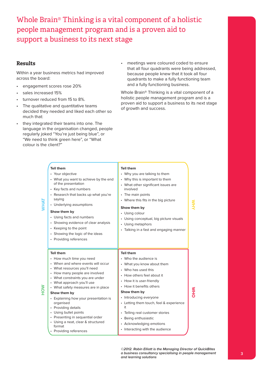Whole Brain® Thinking is a vital component of a holistic people management program and is a proven aid to support a business to its next stage

# **Results**

Within a year business metrics had improved across the board:

- engagement scores rose 20%
- sales increased 15%
- turnover reduced from 15 to 8%.
- The qualitative and quantitative teams decided they needed and liked each other so much that:
- they integrated their teams into one. The language in the organisation changed, people regularly joked "You're just being blue", or "We need to think green here", or "What colour is the client?"
- meetings were coloured coded to ensure that all four quadrants were being addressed, because people knew that it took all four quadrants to make a fully functioning team and a fully functioning business.

Whole Brain® Thinking is a vital component of a holistic people management program and is a proven aid to support a business to its next stage of growth and success.

|     | <b>Tell them</b><br>• Your objective<br>• What you want to achieve by the end<br>of the presentation<br>• Key facts and numbers<br>• Research that backs up what you're<br>saying<br>• Underlying assumptions<br>Show them by<br>• Using facts and numbers<br>• Showing evidence of clear analysis<br>• Keeping to the point<br>• Showing the logic of the ideas<br>• Providing references                                                                                                        | <b>Tell them</b><br>• Why you are talking to them<br>• Why this is important to them<br>• What other significant issues are<br>involved<br>• The main points<br>• Where this fits in the big picture<br>Show them by<br>• Using colour<br>• Using conceptual, big picture visuals<br>• Using metaphors<br>• Talking in a fast and engaging manner                                                          |            |
|-----|---------------------------------------------------------------------------------------------------------------------------------------------------------------------------------------------------------------------------------------------------------------------------------------------------------------------------------------------------------------------------------------------------------------------------------------------------------------------------------------------------|------------------------------------------------------------------------------------------------------------------------------------------------------------------------------------------------------------------------------------------------------------------------------------------------------------------------------------------------------------------------------------------------------------|------------|
| NOH | <b>Tell them</b><br>• How much time you need<br>• When and where events will occur<br>• What resources you'll need<br>• How many people are involved<br>• What constraints you are under<br>• What approach you'll use<br>• What safety measures are in place<br>Show them by<br>• Explaining how your presentation is<br>organised<br>• Providing details<br>• Using bullet points<br>• Presenting in sequential order<br>• Using a neat, clear & structured<br>format<br>• Providing references | <b>Tell them</b><br>• Who the audience is<br>• What you know about them<br>• Who has used this<br>• How others feel about it<br>• How it is user-friendly<br>• How it benefits others<br>Show them by<br>• Introducing everyone<br>• Letting them touch, feel & experience<br>it<br>• Telling real customer stories<br>• Being enthusiastic<br>• Acknowledging emotions<br>• Interacting with the audience | <b>NHO</b> |

**©2012. Robin Elliott is the Managing Director of QuickBites a business consultancy specialising in people management and learning solutions**